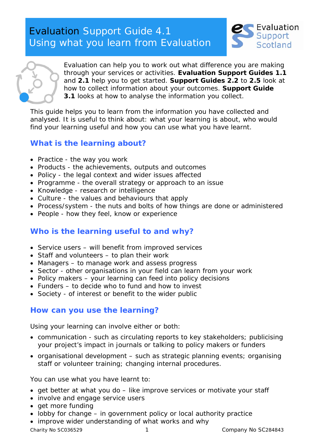# Evaluation Support Guide 4.1 Using what you learn from Evaluation





Evaluation can help you to work out what difference you are making through your services or activities. **Evaluation Support Guides 1.1** and **2.1** help you to get started. **Support Guides 2.2** to **2.5** look at how to collect information about your outcomes. **Support Guide 3.1** looks at how to analyse the information you collect.

This guide helps you to learn from the information you have collected and analysed. It is useful to think about: what your learning is about, who would find your learning useful and how you can use what you have learnt.

# **What is the learning about?**

- Practice the way you work
- Products the achievements, outputs and outcomes
- Policy the legal context and wider issues affected
- Programme the overall strategy or approach to an issue
- Knowledge research or intelligence
- Culture the values and behaviours that apply
- Process/system the nuts and bolts of how things are done or administered
- People how they feel, know or experience

## **Who is the learning useful to and why?**

- Service users will benefit from improved services
- Staff and volunteers to plan their work
- Managers to manage work and assess progress
- Sector other organisations in your field can learn from your work
- Policy makers your learning can feed into policy decisions
- Funders to decide who to fund and how to invest
- Society of interest or benefit to the wider public

## **How can you use the learning?**

Using your learning can involve either or both:

- communication such as circulating reports to key stakeholders; publicising your project's impact in journals or talking to policy makers or funders
- organisational development such as strategic planning events; organising staff or volunteer training; changing internal procedures.

You can use what you have learnt to:

- get better at what you do like improve services or motivate your staff
- involve and engage service users
- get more funding
- lobby for change in government policy or local authority practice
- improve wider understanding of what works and why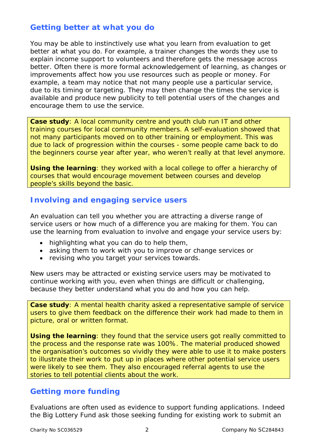## **Getting better at what you do**

You may be able to instinctively use what you learn from evaluation to get better at what you do. For example, a trainer changes the words they use to explain income support to volunteers and therefore gets the message across better. Often there is more formal acknowledgement of learning, as changes or improvements affect how you use resources such as people or money. For example, a team may notice that not many people use a particular service, due to its timing or targeting. They may then change the times the service is available and produce new publicity to tell potential users of the changes and encourage them to use the service.

**Case study**: A local community centre and youth club run IT and other training courses for local community members. A self-evaluation showed that not many participants moved on to other training or employment. This was due to lack of progression within the courses - some people came back to do the beginners course year after year, who weren't really at that level anymore.

*Using the learning: they worked with a local college to offer a hierarchy of courses that would encourage movement between courses and develop people's skills beyond the basic.* 

#### **Involving and engaging service users**

An evaluation can tell you whether you are attracting a diverse range of service users or how much of a difference you are making for them. You can use the learning from evaluation to involve and engage your service users by:

- highlighting what you can do to help them,
- asking them to work with you to improve or change services or
- revising who you target your services towards.

New users may be attracted or existing service users may be motivated to continue working with you, even when things are difficult or challenging, because they better understand what you do and how you can help.

**Case study**: A mental health charity asked a representative sample of service users to give them feedback on the difference their work had made to them in picture, oral or written format.

*Using the learning: they found that the service users got really committed to the process and the response rate was 100%. The material produced showed the organisation's outcomes so vividly they were able to use it to make posters to illustrate their work to put up in places where other potential service users were likely to see them. They also encouraged referral agents to use the stories to tell potential clients about the work.*

#### **Getting more funding**

Evaluations are often used as evidence to support funding applications. Indeed the Big Lottery Fund ask those seeking funding for existing work to submit an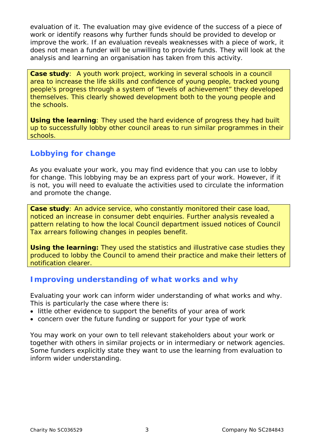evaluation of it. The evaluation may give evidence of the success of a piece of work or identify reasons why further funds should be provided to develop or improve the work. If an evaluation reveals weaknesses with a piece of work, it does not mean a funder will be unwilling to provide funds. They will look at the analysis and learning an organisation has taken from this activity.

**Case study**: A youth work project, working in several schools in a council area to increase the life skills and confidence of young people, tracked young people's progress through a system of "levels of achievement" they developed themselves. This clearly showed development both to the young people and the schools.

*Using the learning: They used the hard evidence of progress they had built up to successfully lobby other council areas to run similar programmes in their schools.*

# **Lobbying for change**

As you evaluate your work, you may find evidence that you can use to lobby for change. This lobbying may be an express part of your work. However, if it is not, you will need to evaluate the activities used to circulate the information and promote the change.

**Case study**: An advice service, who constantly monitored their case load, noticed an increase in consumer debt enquiries. Further analysis revealed a pattern relating to how the local Council department issued notices of Council Tax arrears following changes in peoples benefit.

*Using the learning: They used the statistics and illustrative case studies they produced to lobby the Council to amend their practice and make their letters of notification clearer.* 

#### **Improving understanding of what works and why**

Evaluating your work can inform wider understanding of what works and why. This is particularly the case where there is:

- little other evidence to support the benefits of your area of work
- concern over the future funding or support for your type of work

You may work on your own to tell relevant stakeholders about your work or together with others in similar projects or in intermediary or network agencies. Some funders explicitly state they want to use the learning from evaluation to inform wider understanding.